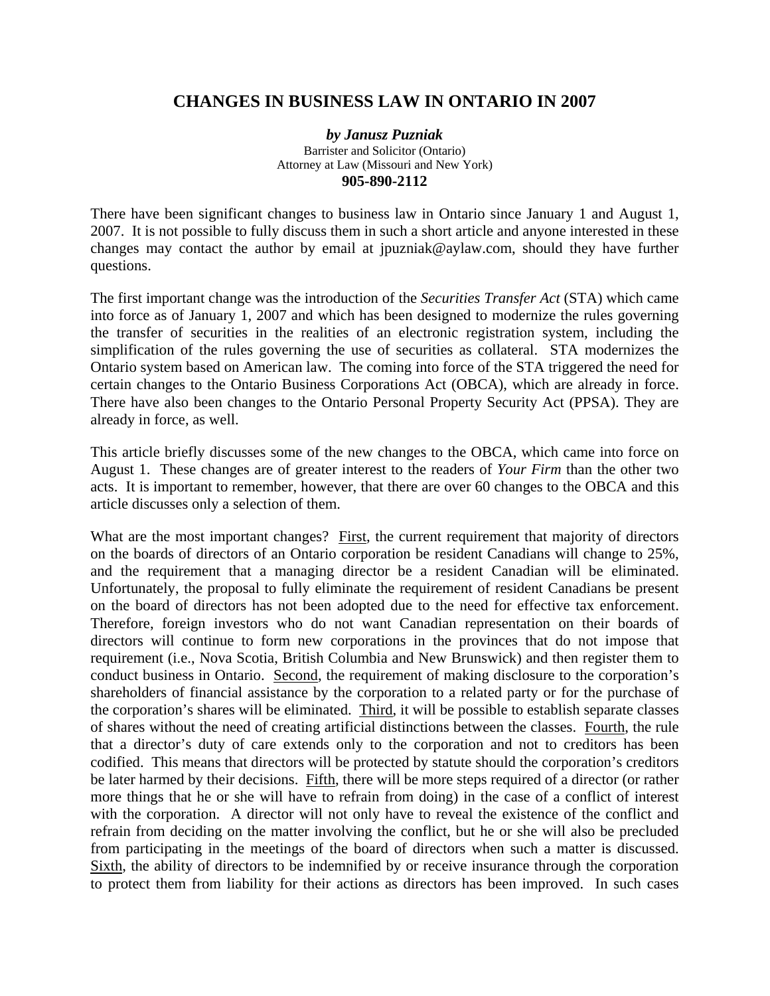## **CHANGES IN BUSINESS LAW IN ONTARIO IN 2007**

*by Janusz Puzniak*  Barrister and Solicitor (Ontario) Attorney at Law (Missouri and New York) **905-890-2112**

There have been significant changes to business law in Ontario since January 1 and August 1, 2007. It is not possible to fully discuss them in such a short article and anyone interested in these changes may contact the author by email at jpuzniak@aylaw.com, should they have further questions.

The first important change was the introduction of the *Securities Transfer Act* (STA) which came into force as of January 1, 2007 and which has been designed to modernize the rules governing the transfer of securities in the realities of an electronic registration system, including the simplification of the rules governing the use of securities as collateral. STA modernizes the Ontario system based on American law. The coming into force of the STA triggered the need for certain changes to the Ontario Business Corporations Act (OBCA), which are already in force. There have also been changes to the Ontario Personal Property Security Act (PPSA). They are already in force, as well.

This article briefly discusses some of the new changes to the OBCA, which came into force on August 1. These changes are of greater interest to the readers of *Your Firm* than the other two acts. It is important to remember, however, that there are over 60 changes to the OBCA and this article discusses only a selection of them.

What are the most important changes? First, the current requirement that majority of directors on the boards of directors of an Ontario corporation be resident Canadians will change to 25%, and the requirement that a managing director be a resident Canadian will be eliminated. Unfortunately, the proposal to fully eliminate the requirement of resident Canadians be present on the board of directors has not been adopted due to the need for effective tax enforcement. Therefore, foreign investors who do not want Canadian representation on their boards of directors will continue to form new corporations in the provinces that do not impose that requirement (i.e., Nova Scotia, British Columbia and New Brunswick) and then register them to conduct business in Ontario. Second, the requirement of making disclosure to the corporation's shareholders of financial assistance by the corporation to a related party or for the purchase of the corporation's shares will be eliminated. Third, it will be possible to establish separate classes of shares without the need of creating artificial distinctions between the classes. Fourth, the rule that a director's duty of care extends only to the corporation and not to creditors has been codified. This means that directors will be protected by statute should the corporation's creditors be later harmed by their decisions. Fifth, there will be more steps required of a director (or rather more things that he or she will have to refrain from doing) in the case of a conflict of interest with the corporation. A director will not only have to reveal the existence of the conflict and refrain from deciding on the matter involving the conflict, but he or she will also be precluded from participating in the meetings of the board of directors when such a matter is discussed. Sixth, the ability of directors to be indemnified by or receive insurance through the corporation to protect them from liability for their actions as directors has been improved. In such cases